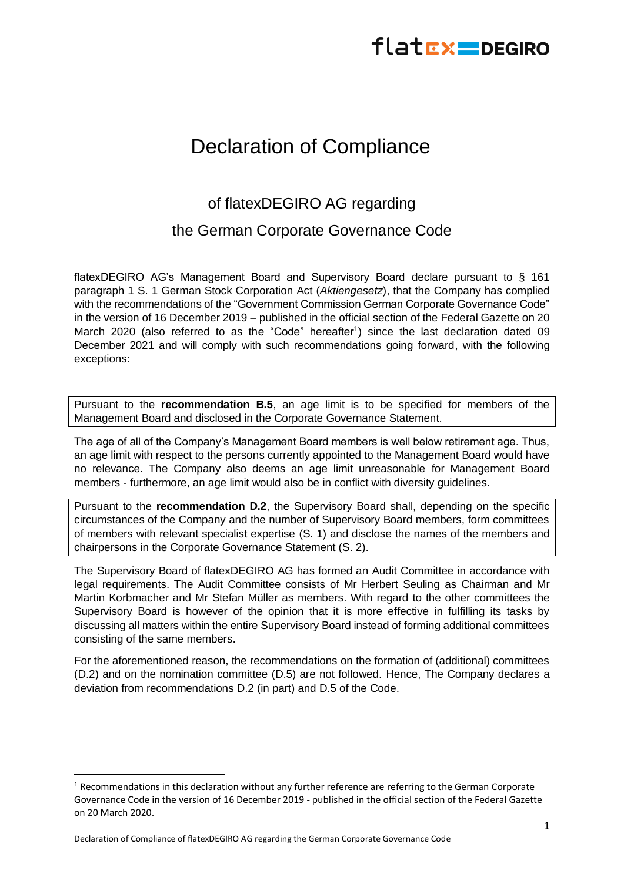## flatEx DEGIRO

## Declaration of Compliance

## of flatexDEGIRO AG regarding

## the German Corporate Governance Code

flatexDEGIRO AG's Management Board and Supervisory Board declare pursuant to § 161 paragraph 1 S. 1 German Stock Corporation Act (*Aktiengesetz*), that the Company has complied with the recommendations of the "Government Commission German Corporate Governance Code" in the version of 16 December 2019 – published in the official section of the Federal Gazette on 20 March 2020 (also referred to as the "Code" hereafter<sup>1</sup>) since the last declaration dated 09 December 2021 and will comply with such recommendations going forward, with the following exceptions:

Pursuant to the **recommendation B.5**, an age limit is to be specified for members of the Management Board and disclosed in the Corporate Governance Statement.

The age of all of the Company's Management Board members is well below retirement age. Thus, an age limit with respect to the persons currently appointed to the Management Board would have no relevance. The Company also deems an age limit unreasonable for Management Board members - furthermore, an age limit would also be in conflict with diversity guidelines.

Pursuant to the **recommendation D.2**, the Supervisory Board shall, depending on the specific circumstances of the Company and the number of Supervisory Board members, form committees of members with relevant specialist expertise (S. 1) and disclose the names of the members and chairpersons in the Corporate Governance Statement (S. 2).

The Supervisory Board of flatexDEGIRO AG has formed an Audit Committee in accordance with legal requirements. The Audit Committee consists of Mr Herbert Seuling as Chairman and Mr Martin Korbmacher and Mr Stefan Müller as members. With regard to the other committees the Supervisory Board is however of the opinion that it is more effective in fulfilling its tasks by discussing all matters within the entire Supervisory Board instead of forming additional committees consisting of the same members.

For the aforementioned reason, the recommendations on the formation of (additional) committees (D.2) and on the nomination committee (D.5) are not followed. Hence, The Company declares a deviation from recommendations D.2 (in part) and D.5 of the Code.

 $1$  Recommendations in this declaration without any further reference are referring to the German Corporate Governance Code in the version of 16 December 2019 - published in the official section of the Federal Gazette on 20 March 2020.